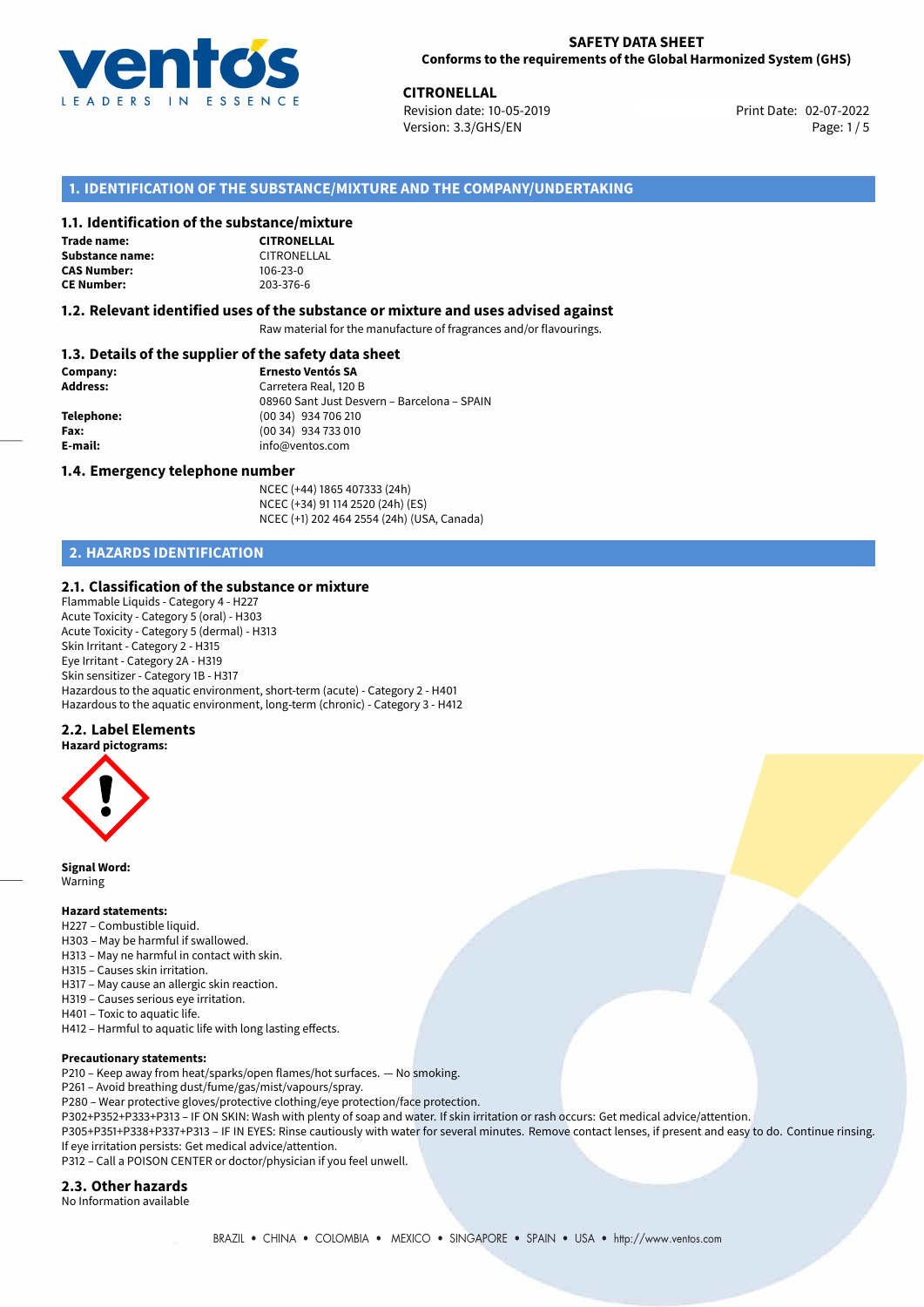

**CITRONELLAL**<br>
Revision date: 10-05-2019<br> **CITRONELLAL**<br>
Print Date: 02-07-2022 Revision date: 10-05-2019 Version: 3.3/GHS/EN Page: 1/5

## **1. IDENTIFICATION OF THE SUBSTANCE/MIXTURE AND THE COMPANY/UNDERTAKING**

### **1.1. Identification of the substance/mixture**

**Trade name: Substance name:** CITRONELLAL **CAS Number: CE Number:** 203-376-6

| ~~~~~~~~~~~~~      |  |  |  |
|--------------------|--|--|--|
| <b>CITRONELLAL</b> |  |  |  |
| CITRONELLAL        |  |  |  |
| 106-23-0           |  |  |  |
| 203-376-6          |  |  |  |

#### **1.2. Relevant identified uses of the substance or mixture and uses advised against**

Raw material for the manufacture of fragrances and/or flavourings.

## **1.3. Details of the supplier of the safety data sheet**

| Company:        | <b>Ernesto Ventós SA</b>                    |
|-----------------|---------------------------------------------|
| <b>Address:</b> | Carretera Real, 120 B                       |
|                 | 08960 Sant Just Desvern - Barcelona - SPAIN |
| Telephone:      | (00 34) 934 706 210                         |
| Fax:            | (00 34) 934 733 010                         |
| E-mail:         | info@ventos.com                             |
|                 |                                             |

#### **1.4. Emergency telephone number**

NCEC (+44) 1865 407333 (24h) NCEC (+34) 91 114 2520 (24h) (ES) NCEC (+1) 202 464 2554 (24h) (USA, Canada)

## **2. HAZARDS IDENTIFICATION**

### **2.1. Classification of the substance or mixture**

Flammable Liquids - Category 4 - H227 Acute Toxicity - Category 5 (oral) - H303 Acute Toxicity - Category 5 (dermal) - H313 Skin Irritant - Category 2 - H315 Eye Irritant - Category 2A - H319 Skin sensitizer - Category 1B - H317 Hazardous to the aquatic environment, short-term (acute) - Category 2 - H401 Hazardous to the aquatic environment, long-term (chronic) - Category 3 - H412

### **2.2. Label Elements**

**Hazard pictograms:**



**Signal Word:** Warning

#### **Hazard statements:**

- H227 Combustible liquid.
- H303 May be harmful if swallowed.
- H313 May ne harmful in contact with skin.
- H315 Causes skin irritation.
- H317 May cause an allergic skin reaction.
- H319 Causes serious eye irritation.
- H401 Toxic to aquatic life.
- H412 Harmful to aquatic life with long lasting effects.

#### **Precautionary statements:**

P210 – Keep away from heat/sparks/open flames/hot surfaces. — No smoking.

P261 – Avoid breathing dust/fume/gas/mist/vapours/spray.

- P280 Wear protective gloves/protective clothing/eye protection/face protection.
- P302+P352+P333+P313 IF ON SKIN: Wash with plenty of soap and water. If skin irritation or rash occurs: Get medical advice/attention.

P305+P351+P338+P337+P313 – IF IN EYES: Rinse cautiously with water for several minutes. Remove contact lenses, if present and easy to do. Continue rinsing. If eye irritation persists: Get medical advice/attention.

P312 – Call a POISON CENTER or doctor/physician if you feel unwell.

### **2.3. Other hazards**

No Information available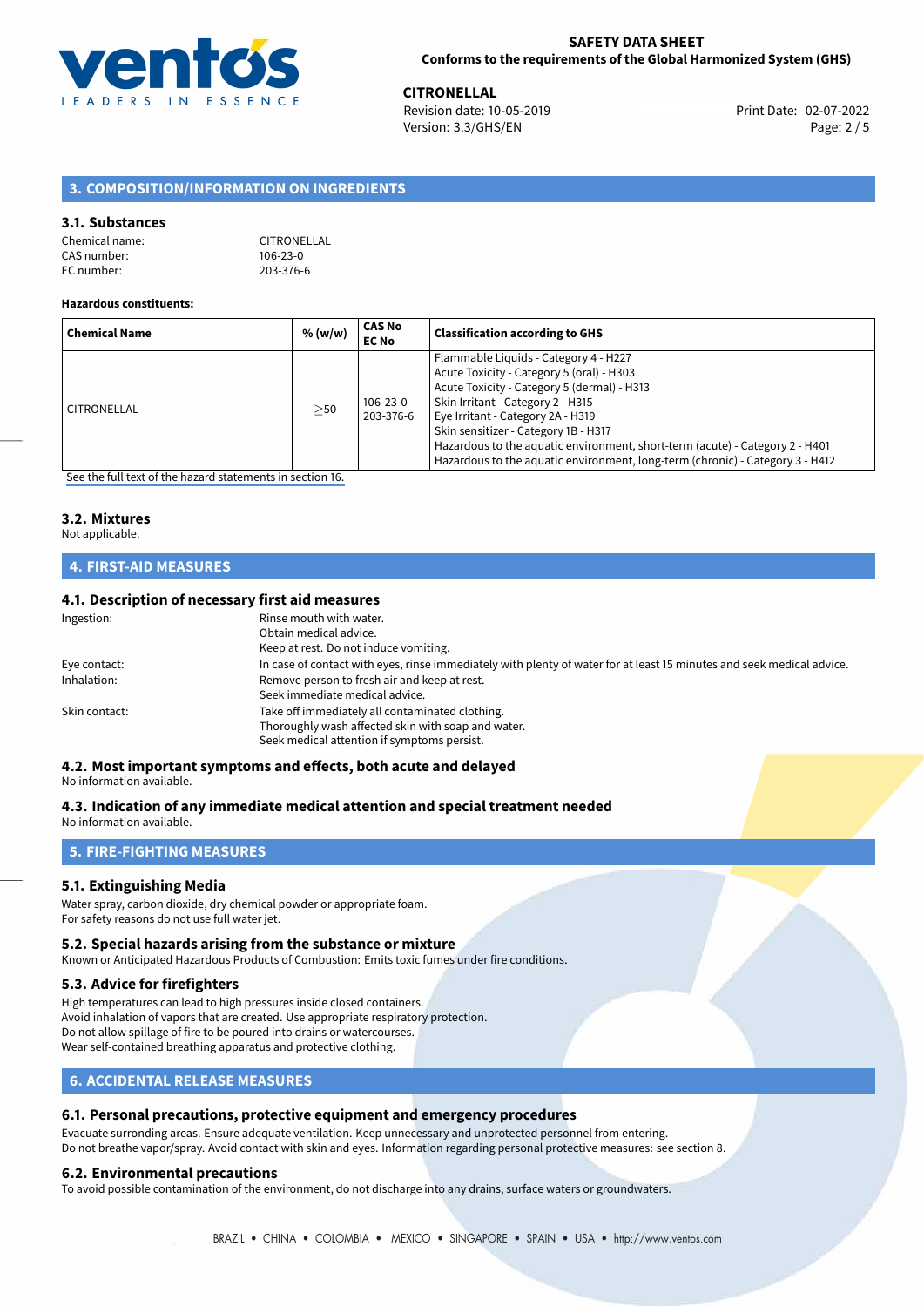

**CITRONELLAL**<br>
Revision date: 10-05-2019 **Print Date: 02-07-2022** Version: 3.3/GHS/EN Page: 2 / 5

## **3. COMPOSITION/INFORMATION ON INGREDIENTS**

### **3.1. Substances**

| Chemical name: | CITRONELLAL    |
|----------------|----------------|
| CAS number: l  | $106 - 23 - 0$ |
| EC number: l   | 203-376-6      |

#### **Hazardous constituents:**

| <b>Chemical Name</b> | % (w/w)   | CAS No<br><b>EC No</b> | <b>Classification according to GHS</b>                                                                                                                                                                                                                                                                                                                                                                               |
|----------------------|-----------|------------------------|----------------------------------------------------------------------------------------------------------------------------------------------------------------------------------------------------------------------------------------------------------------------------------------------------------------------------------------------------------------------------------------------------------------------|
| CITRONELLAL          | $\geq$ 50 | 106-23-0<br>203-376-6  | Flammable Liquids - Category 4 - H227<br>Acute Toxicity - Category 5 (oral) - H303<br>Acute Toxicity - Category 5 (dermal) - H313<br>Skin Irritant - Category 2 - H315<br>Eye Irritant - Category 2A - H319<br>Skin sensitizer - Category 1B - H317<br>Hazardous to the aquatic environment, short-term (acute) - Category 2 - H401<br>Hazardous to the aquatic environment, long-term (chronic) - Category 3 - H412 |

[See the full text of the hazard statements in section 16.](#page-4-0)

## **3.2. Mixtures**

## Not applicable.

## **4. FIRST-AID MEASURES**

### **4.1. Description of necessary first aid measures**

| Rinse mouth with water.                                                                                               |
|-----------------------------------------------------------------------------------------------------------------------|
| Obtain medical advice.                                                                                                |
| Keep at rest. Do not induce vomiting.                                                                                 |
| In case of contact with eyes, rinse immediately with plenty of water for at least 15 minutes and seek medical advice. |
| Remove person to fresh air and keep at rest.                                                                          |
| Seek immediate medical advice.                                                                                        |
| Take off immediately all contaminated clothing.                                                                       |
| Thoroughly wash affected skin with soap and water.                                                                    |
| Seek medical attention if symptoms persist.                                                                           |
|                                                                                                                       |

## **4.2. Most important symptoms and effects, both acute and delayed**

No information available.

## **4.3. Indication of any immediate medical attention and special treatment needed**

No information available.

## **5. FIRE-FIGHTING MEASURES**

## **5.1. Extinguishing Media**

Water spray, carbon dioxide, dry chemical powder or appropriate foam. For safety reasons do not use full water jet.

### **5.2. Special hazards arising from the substance or mixture**

Known or Anticipated Hazardous Products of Combustion: Emits toxic fumes under fire conditions.

### **5.3. Advice for firefighters**

High temperatures can lead to high pressures inside closed containers. Avoid inhalation of vapors that are created. Use appropriate respiratory protection. Do not allow spillage of fire to be poured into drains or watercourses. Wear self-contained breathing apparatus and protective clothing.

## **6. ACCIDENTAL RELEASE MEASURES**

## **6.1. Personal precautions, protective equipment and emergency procedures**

Evacuate surronding areas. Ensure adequate ventilation. Keep unnecessary and unprotected personnel from entering. Do not breathe vapor/spray. Avoid contact with skin and eyes. Information regarding personal protective measures: see section 8.

### **6.2. Environmental precautions**

To avoid possible contamination of the environment, do not discharge into any drains, surface waters or groundwaters.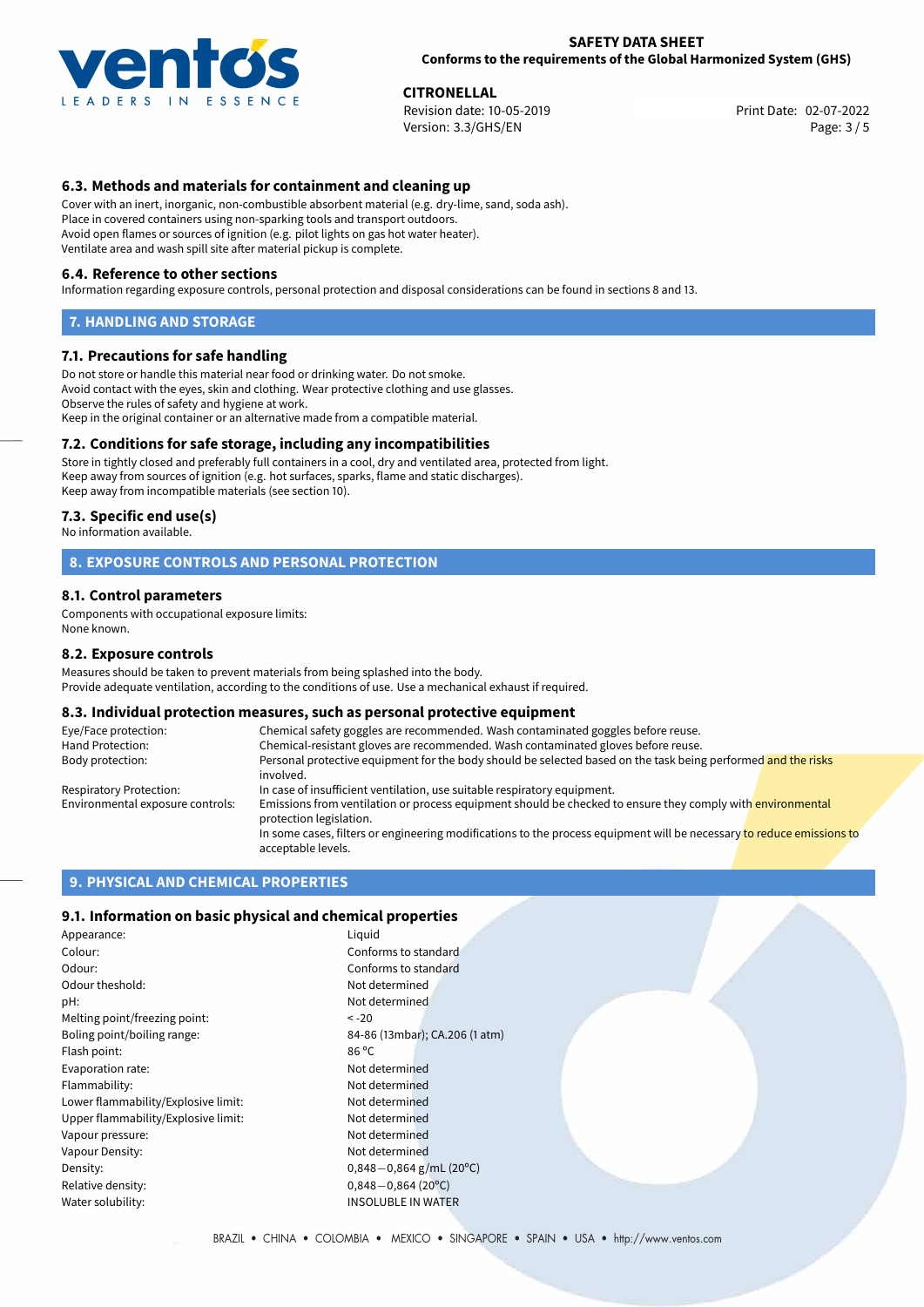

**CITRONELLAL**<br>
Revision date: 10-05-2019 **Print Date: 02-07-2022** Version: 3.3/GHS/EN Page: 3 / 5

## **6.3. Methods and materials for containment and cleaning up**

Cover with an inert, inorganic, non-combustible absorbent material (e.g. dry-lime, sand, soda ash). Place in covered containers using non-sparking tools and transport outdoors. Avoid open flames or sources of ignition (e.g. pilot lights on gas hot water heater). Ventilate area and wash spill site after material pickup is complete.

#### **6.4. Reference to other sections**

Information regarding exposure controls, personal protection and disposal considerations can be found in sections 8 and 13.

#### **7. HANDLING AND STORAGE**

#### **7.1. Precautions for safe handling**

Do not store or handle this material near food or drinking water. Do not smoke. Avoid contact with the eyes, skin and clothing. Wear protective clothing and use glasses. Observe the rules of safety and hygiene at work. Keep in the original container or an alternative made from a compatible material.

### **7.2. Conditions for safe storage, including any incompatibilities**

Store in tightly closed and preferably full containers in a cool, dry and ventilated area, protected from light. Keep away from sources of ignition (e.g. hot surfaces, sparks, flame and static discharges). Keep away from incompatible materials (see section 10).

#### **7.3. Specific end use(s)**

No information available.

### **8. EXPOSURE CONTROLS AND PERSONAL PROTECTION**

#### **8.1. Control parameters**

Components with occupational exposure limits: None known.

#### **8.2. Exposure controls**

Measures should be taken to prevent materials from being splashed into the body. Provide adequate ventilation, according to the conditions of use. Use a mechanical exhaust if required.

#### **8.3. Individual protection measures, such as personal protective equipment**

| Eye/Face protection:             | Chemical safety goggles are recommended. Wash contaminated goggles before reuse.                                                            |  |  |
|----------------------------------|---------------------------------------------------------------------------------------------------------------------------------------------|--|--|
| Hand Protection:                 | Chemical-resistant gloves are recommended. Wash contaminated gloves before reuse.                                                           |  |  |
| Body protection:                 | Personal protective equipment for the body should be selected based on the task being performed and the risks<br>involved.                  |  |  |
| Respiratory Protection:          | In case of insufficient ventilation, use suitable respiratory equipment.                                                                    |  |  |
| Environmental exposure controls: | Emissions from ventilation or process equipment should be checked to ensure they comply with environmental<br>protection legislation.       |  |  |
|                                  | In some cases, filters or engineering modifications to the process equipment will be necessary to reduce emissions to<br>acceptable levels. |  |  |

#### **9. PHYSICAL AND CHEMICAL PROPERTIES**

### **9.1. Information on basic physical and chemical properties**

| Appearance:                         | Liguid   |
|-------------------------------------|----------|
| Colour:                             | Confo    |
| Odour:                              | Confo    |
| Odour theshold:                     | Not de   |
| pH:                                 | Not de   |
| Melting point/freezing point:       | $< -20$  |
| Boling point/boiling range:         | 84-86    |
| Flash point:                        | 86 °C    |
| Evaporation rate:                   | Not de   |
| Flammability:                       | Not de   |
| Lower flammability/Explosive limit: | Not de   |
| Upper flammability/Explosive limit: | Not de   |
| Vapour pressure:                    | Not de   |
| Vapour Density:                     | Not de   |
| Density:                            | $0,848-$ |
| Relative density:                   | $0,848-$ |
| Water solubility:                   | INSOL    |
|                                     |          |

Conforms to standard Not determined Not determined 84-86 (13mbar); CA.206 (1 atm) Not determined Not determined Not determined Not determined Not determined Not determined Density: 0,848*−*0,864 g/mL (20ºC) Relative density: 0,848*−*0,864 (20ºC) **INSOLUBLE IN WATER** 

Conforms to standard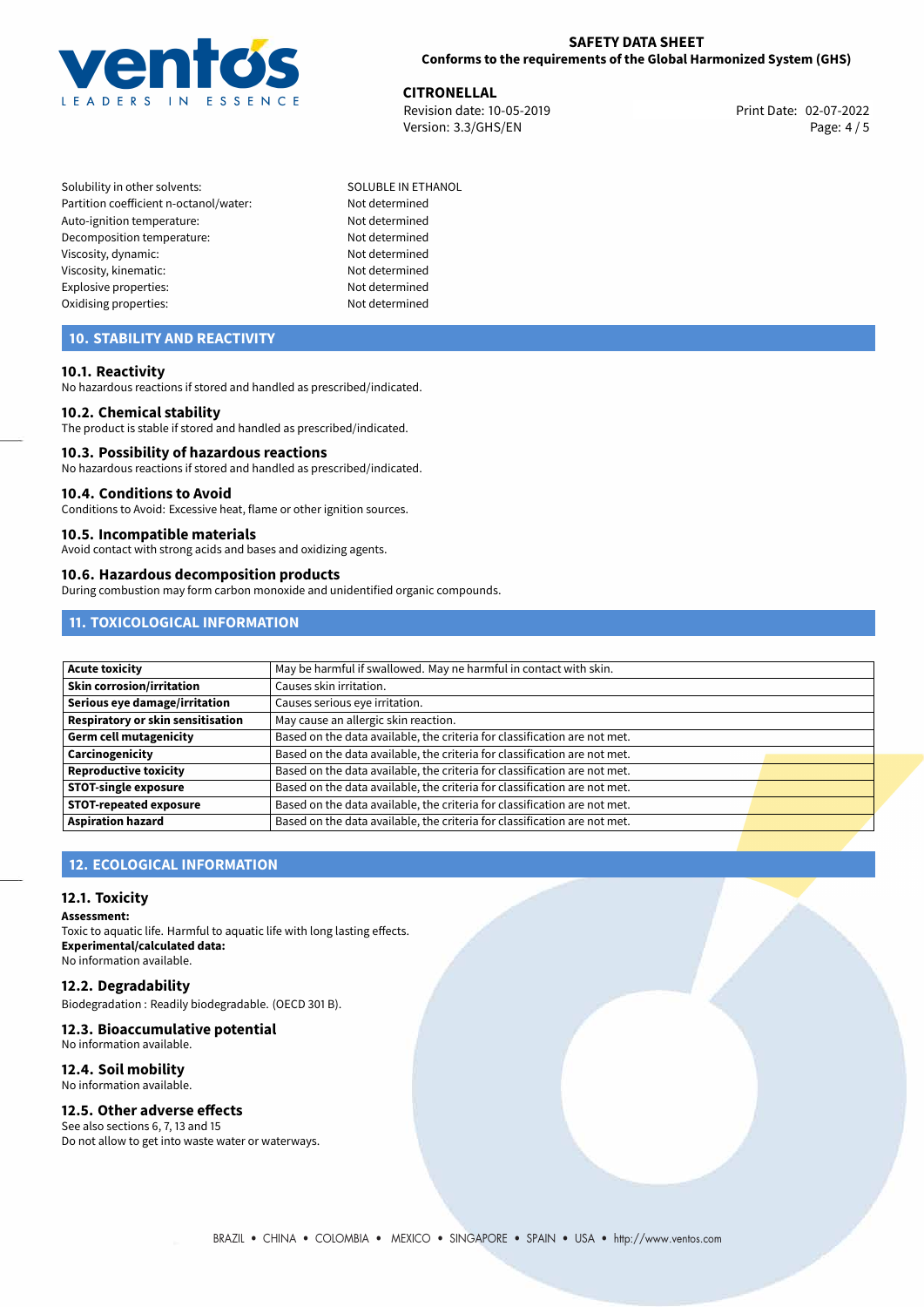

**CITRONELLAL**<br>
Revision date: 10-05-2019 **Print Date: 02-07-2022** Version: 3.3/GHS/EN Page: 4 / 5

Solubility in other solvents: SOLUBLE IN ETHANOL Partition coefficient n-octanol/water: Not determined Auto-ignition temperature: Not determined Decomposition temperature: Not determined Viscosity, dynamic: Not determined Viscosity, kinematic: Not determined Explosive properties: Not determined Oxidising properties: Not determined

## **10. STABILITY AND REACTIVITY**

### **10.1. Reactivity**

No hazardous reactions if stored and handled as prescribed/indicated.

#### **10.2. Chemical stability**

The product is stable if stored and handled as prescribed/indicated.

#### **10.3. Possibility of hazardous reactions**

No hazardous reactions if stored and handled as prescribed/indicated.

#### **10.4. Conditions to Avoid**

Conditions to Avoid: Excessive heat, flame or other ignition sources.

#### **10.5. Incompatible materials**

Avoid contact with strong acids and bases and oxidizing agents.

#### **10.6. Hazardous decomposition products**

During combustion may form carbon monoxide and unidentified organic compounds.

## **11. TOXICOLOGICAL INFORMATION**

| <b>Acute toxicity</b>             | May be harmful if swallowed. May ne harmful in contact with skin.         |
|-----------------------------------|---------------------------------------------------------------------------|
| Skin corrosion/irritation         | Causes skin irritation.                                                   |
| Serious eye damage/irritation     | Causes serious eye irritation.                                            |
| Respiratory or skin sensitisation | May cause an allergic skin reaction.                                      |
| Germ cell mutagenicity            | Based on the data available, the criteria for classification are not met. |
| Carcinogenicity                   | Based on the data available, the criteria for classification are not met. |
| <b>Reproductive toxicity</b>      | Based on the data available, the criteria for classification are not met. |
| <b>STOT-single exposure</b>       | Based on the data available, the criteria for classification are not met. |
| <b>STOT-repeated exposure</b>     | Based on the data available, the criteria for classification are not met. |
| <b>Aspiration hazard</b>          | Based on the data available, the criteria for classification are not met. |

## **12. ECOLOGICAL INFORMATION**

### **12.1. Toxicity**

**Assessment:**

Toxic to aquatic life. Harmful to aquatic life with long lasting effects. **Experimental/calculated data:** No information available.

### **12.2. Degradability**

Biodegradation : Readily biodegradable. (OECD 301 B).

#### **12.3. Bioaccumulative potential** No information available.

# **12.4. Soil mobility**

No information available.

## **12.5. Other adverse effects**

See also sections 6, 7, 13 and 15 Do not allow to get into waste water or waterways.